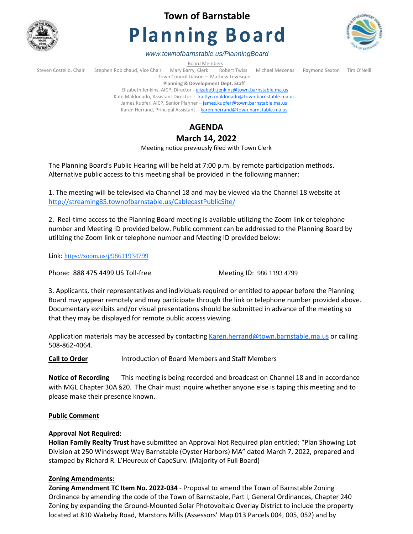

# **Town of Barnstable**

# **Planning Board**



*www.townofbarnstable.us/PlanningBoard*

**Board Members**<br>Brrv, Clerk Robert Twiss Steven Costello, Chair Stephen Robichaud, Vice Chair Mary Barry, Clerk Robert Twiss Michael Mecenas Raymond Sexton Tim O'Neill Town Council Liaison – Mathew Levesque **Planning & Development Dept. Staff** 

Elizabeth Jenkins, AICP, Director - [elizabeth.jenkins@town.barnstable.ma.us](mailto:elizabeth.jenkins@town.barnstable.ma.us) Kate Maldonado, Assistant Director - [kaitlyn.maldonado@town.barnstable.ma.us](mailto:kaitlyn.maldonado@town.barnstable.ma.us) James Kupfer, AICP, Senior Planner - [james.kupfer@town.barnstable.ma.us](mailto:james.kupfer@town.barnstable.ma.us) Karen Herrand, Principal Assistant - [karen.herrand@town.barnstable.ma.us](mailto:karen.herrand@town.barnstable.ma.us)

## **AGENDA**

### **March 14, 2022**

Meeting notice previously filed with Town Clerk

The Planning Board's Public Hearing will be held at 7:00 p.m. by remote participation methods. Alternative public access to this meeting shall be provided in the following manner:

1. The meeting will be televised via Channel 18 and may be viewed via the Channel 18 website at <http://streaming85.townofbarnstable.us/CablecastPublicSite/>

2. Real-time access to the Planning Board meeting is available utilizing the Zoom link or telephone number and Meeting ID provided below. Public comment can be addressed to the Planning Board by utilizing the Zoom link or telephone number and Meeting ID provided below:

Link: <https://zoom.us/j/98611934799>

Phone: 888 475 4499 US Toll-free Meeting ID: 986 1193 4799

3. Applicants, their representatives and individuals required or entitled to appear before the Planning Board may appear remotely and may participate through the link or telephone number provided above. Documentary exhibits and/or visual presentations should be submitted in advance of the meeting so that they may be displayed for remote public access viewing.

Application materials may be accessed by contacting [Karen.herrand@town.barnstable.ma.us](mailto:Karen.herrand@town.barnstable.ma.us) or calling 508-862-4064.

**Call to Order** Introduction of Board Members and Staff Members

**Notice of Recording** This meeting is being recorded and broadcast on Channel 18 and in accordance with MGL Chapter 30A §20. The Chair must inquire whether anyone else is taping this meeting and to please make their presence known.

#### **Public Comment**

#### **Approval Not Required:**

**Holian Family Realty Trust** have submitted an Approval Not Required plan entitled: "Plan Showing Lot Division at 250 Windswept Way Barnstable (Oyster Harbors) MA" dated March 7, 2022, prepared and stamped by Richard R. L'Heureux of CapeSurv*.* (Majority of Full Board)

#### **Zoning Amendments:**

**Zoning Amendment TC Item No. 2022-034** - Proposal to amend the Town of Barnstable Zoning Ordinance by amending the code of the Town of Barnstable, Part I, General Ordinances, Chapter 240 Zoning by expanding the Ground-Mounted Solar Photovoltaic Overlay District to include the property located at 810 Wakeby Road, Marstons Mills (Assessors' Map 013 Parcels 004, 005, 052) and by